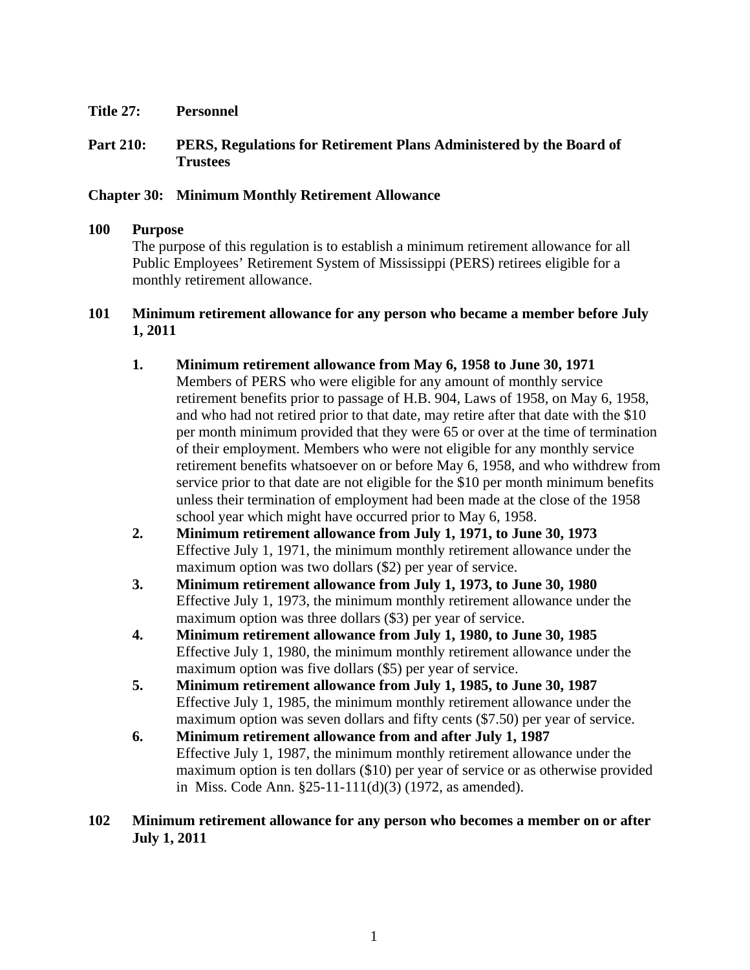- **Title 27: Personnel**
- **Part 210: PERS, Regulations for Retirement Plans Administered by the Board of Trustees**

## **Chapter 30: Minimum Monthly Retirement Allowance**

## **100 Purpose**

The purpose of this regulation is to establish a minimum retirement allowance for all Public Employees' Retirement System of Mississippi (PERS) retirees eligible for a monthly retirement allowance.

## **101 Minimum retirement allowance for any person who became a member before July 1, 2011**

- **1. Minimum retirement allowance from May 6, 1958 to June 30, 1971**  Members of PERS who were eligible for any amount of monthly service retirement benefits prior to passage of H.B. 904, Laws of 1958, on May 6, 1958, and who had not retired prior to that date, may retire after that date with the \$10 per month minimum provided that they were 65 or over at the time of termination of their employment. Members who were not eligible for any monthly service retirement benefits whatsoever on or before May 6, 1958, and who withdrew from service prior to that date are not eligible for the \$10 per month minimum benefits unless their termination of employment had been made at the close of the 1958 school year which might have occurred prior to May 6, 1958.
- **2. Minimum retirement allowance from July 1, 1971, to June 30, 1973**  Effective July 1, 1971, the minimum monthly retirement allowance under the maximum option was two dollars (\$2) per year of service.
- **3. Minimum retirement allowance from July 1, 1973, to June 30, 1980**  Effective July 1, 1973, the minimum monthly retirement allowance under the maximum option was three dollars (\$3) per year of service.
- **4. Minimum retirement allowance from July 1, 1980, to June 30, 1985**  Effective July 1, 1980, the minimum monthly retirement allowance under the maximum option was five dollars (\$5) per year of service.
- **5. Minimum retirement allowance from July 1, 1985, to June 30, 1987**  Effective July 1, 1985, the minimum monthly retirement allowance under the maximum option was seven dollars and fifty cents (\$7.50) per year of service.
- **6. Minimum retirement allowance from and after July 1, 1987**  Effective July 1, 1987, the minimum monthly retirement allowance under the maximum option is ten dollars (\$10) per year of service or as otherwise provided in Miss. Code Ann. §25-11-111(d)(3) (1972, as amended).

## **102 Minimum retirement allowance for any person who becomes a member on or after July 1, 2011**